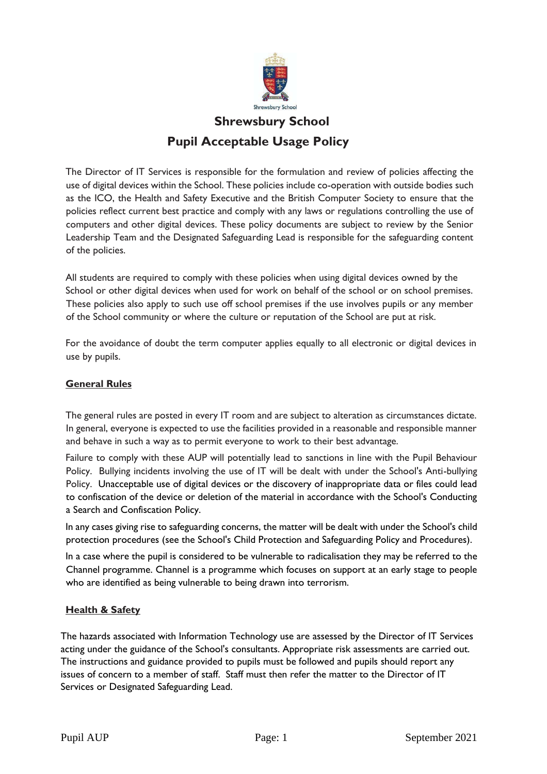

# **Shrewsbury School Pupil Acceptable Usage Policy**

The Director of IT Services is responsible for the formulation and review of policies affecting the use of digital devices within the School. These policies include co-operation with outside bodies such as the ICO, the Health and Safety Executive and the British Computer Society to ensure that the policies reflect current best practice and comply with any laws or regulations controlling the use of computers and other digital devices. These policy documents are subject to review by the Senior Leadership Team and the Designated Safeguarding Lead is responsible for the safeguarding content of the policies.

All students are required to comply with these policies when using digital devices owned by the School or other digital devices when used for work on behalf of the school or on school premises. These policies also apply to such use off school premises if the use involves pupils or any member of the School community or where the culture or reputation of the School are put at risk.

For the avoidance of doubt the term computer applies equally to all electronic or digital devices in use by pupils.

### **General Rules**

The general rules are posted in every IT room and are subject to alteration as circumstances dictate. In general, everyone is expected to use the facilities provided in a reasonable and responsible manner and behave in such a way as to permit everyone to work to their best advantage.

Failure to comply with these AUP will potentially lead to sanctions in line with the Pupil Behaviour Policy. Bullying incidents involving the use of IT will be dealt with under the School's Anti-bullying Policy. Unacceptable use of digital devices or the discovery of inappropriate data or files could lead to confiscation of the device or deletion of the material in accordance with the School's Conducting a Search and Confiscation Policy.

In any cases giving rise to safeguarding concerns, the matter will be dealt with under the School's child protection procedures (see the School's Child Protection and Safeguarding Policy and Procedures).

In a case where the pupil is considered to be vulnerable to radicalisation they may be referred to the Channel programme. Channel is a programme which focuses on support at an early stage to people who are identified as being vulnerable to being drawn into terrorism.

### **Health & Safety**

The hazards associated with Information Technology use are assessed by the Director of IT Services acting under the guidance of the School's consultants. Appropriate risk assessments are carried out. The instructions and guidance provided to pupils must be followed and pupils should report any issues of concern to a member of staff. Staff must then refer the matter to the Director of IT Services or Designated Safeguarding Lead.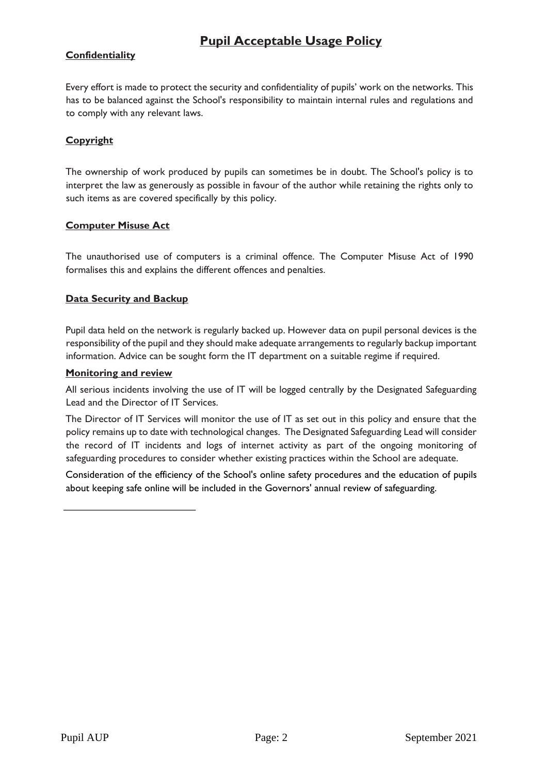### **Confidentiality**

Every effort is made to protect the security and confidentiality of pupils' work on the networks. This has to be balanced against the School's responsibility to maintain internal rules and regulations and to comply with any relevant laws.

### **Copyright**

The ownership of work produced by pupils can sometimes be in doubt. The School's policy is to interpret the law as generously as possible in favour of the author while retaining the rights only to such items as are covered specifically by this policy.

#### **Computer Misuse Act**

The unauthorised use of computers is a criminal offence. The Computer Misuse Act of 1990 formalises this and explains the different offences and penalties.

### **Data Security and Backup**

Pupil data held on the network is regularly backed up. However data on pupil personal devices is the responsibility of the pupil and they should make adequate arrangements to regularly backup important information. Advice can be sought form the IT department on a suitable regime if required.

#### **Monitoring and review**

All serious incidents involving the use of IT will be logged centrally by the Designated Safeguarding Lead and the Director of IT Services.

The Director of IT Services will monitor the use of IT as set out in this policy and ensure that the policy remains up to date with technological changes. The Designated Safeguarding Lead will consider the record of IT incidents and logs of internet activity as part of the ongoing monitoring of safeguarding procedures to consider whether existing practices within the School are adequate.

Consideration of the efficiency of the School's online safety procedures and the education of pupils about keeping safe online will be included in the Governors' annual review of safeguarding.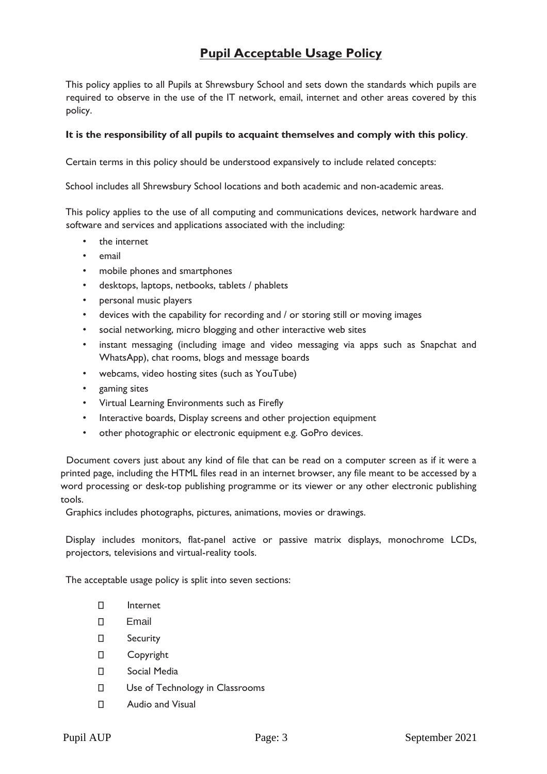This policy applies to all Pupils at Shrewsbury School and sets down the standards which pupils are required to observe in the use of the IT network, email, internet and other areas covered by this policy.

#### **It is the responsibility of all pupils to acquaint themselves and comply with this policy**.

Certain terms in this policy should be understood expansively to include related concepts:

School includes all Shrewsbury School locations and both academic and non-academic areas.

This policy applies to the use of all computing and communications devices, network hardware and software and services and applications associated with the including:

- the internet
- email
- mobile phones and smartphones
- desktops, laptops, netbooks, tablets / phablets
- personal music players
- devices with the capability for recording and / or storing still or moving images
- social networking, micro blogging and other interactive web sites
- instant messaging (including image and video messaging via apps such as Snapchat and WhatsApp), chat rooms, blogs and message boards
- webcams, video hosting sites (such as YouTube)
- gaming sites
- Virtual Learning Environments such as Firefly
- Interactive boards, Display screens and other projection equipment
- other photographic or electronic equipment e.g. GoPro devices.

Document covers just about any kind of file that can be read on a computer screen as if it were a printed page, including the HTML files read in an internet browser, any file meant to be accessed by a word processing or desk-top publishing programme or its viewer or any other electronic publishing tools.

Graphics includes photographs, pictures, animations, movies or drawings.

Display includes monitors, flat-panel active or passive matrix displays, monochrome LCDs, projectors, televisions and virtual-reality tools.

The acceptable usage policy is split into seven sections:

- $\Box$ Internet
- $\Box$ Email
- $\Box$ Security
- $\Box$ Copyright
- $\Box$ Social Media
- $\Box$ Use of Technology in Classrooms
- $\Box$ Audio and Visual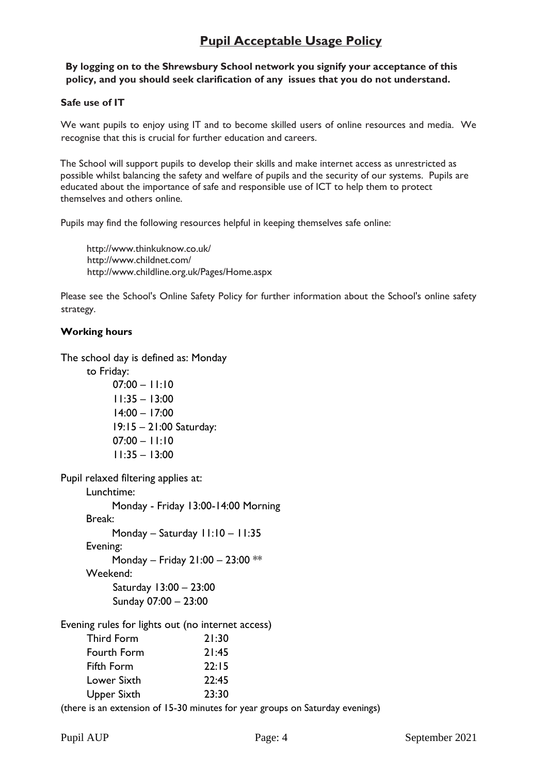### **By logging on to the Shrewsbury School network you signify your acceptance of this policy, and you should seek clarification of any issues that you do not understand.**

#### **Safe use of IT**

We want pupils to enjoy using IT and to become skilled users of online resources and media. We recognise that this is crucial for further education and careers.

The School will support pupils to develop their skills and make internet access as unrestricted as possible whilst balancing the safety and welfare of pupils and the security of our systems. Pupils are educated about the importance of safe and responsible use of ICT to help them to protect themselves and others online.

Pupils may find the following resources helpful in keeping themselves safe online:

<http://www.thinkuknow.co.uk/> <http://www.childnet.com/> <http://www.childline.org.uk/Pages/Home.aspx>

Please see the School's Online Safety Policy for further information about the School's online safety strategy.

#### **Working hours**

The school day is defined as: Monday

to Friday:

 $07:00 - 11:10$ 11:35 – 13:00 14:00 – 17:00 19:15 – 21:00 Saturday:  $07:00 - 11:10$ 11:35 – 13:00

Pupil relaxed filtering applies at:

Lunchtime: Monday - Friday 13:00-14:00 Morning Break: Monday – Saturday 11:10 – 11:35 Evening: Monday – Friday 21:00 – 23:00 \*\* Weekend: Saturday 13:00 – 23:00 Sunday 07:00 – 23:00 Evening rules for lights out (no internet access)

| Third Form  | 21:30 |
|-------------|-------|
| Fourth Form | 21:45 |
| Fifth Form  | 22:15 |
| Lower Sixth | 22:45 |
| Upper Sixth | 23:30 |

(there is an extension of 15-30 minutes for year groups on Saturday evenings)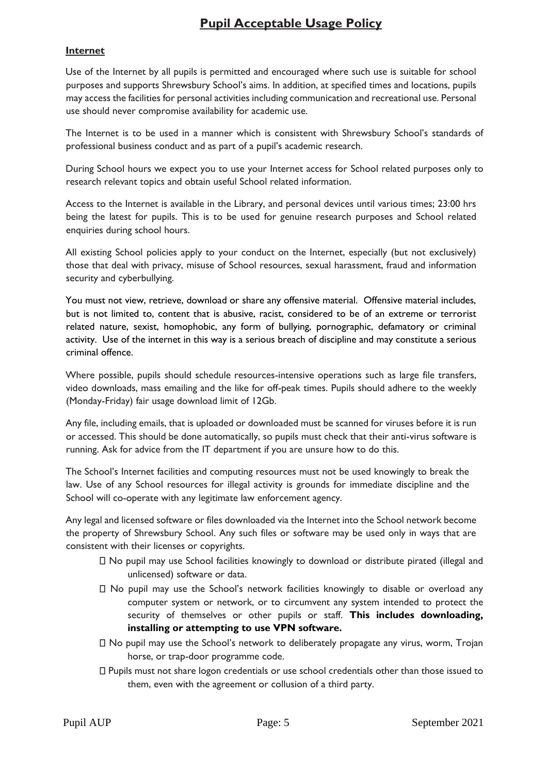### **Internet**

Use of the Internet by all pupils is permitted and encouraged where such use is suitable for school purposes and supports Shrewsbury School's aims. In addition, at specified times and locations, pupils may access the facilities for personal activities including communication and recreational use. Personal use should never compromise availability for academic use.

The Internet is to be used in a manner which is consistent with Shrewsbury School's standards of professional business conduct and as part of a pupil's academic research.

During School hours we expect you to use your Internet access for School related purposes only to research relevant topics and obtain useful School related information.

Access to the Internet is available in the Library, and personal devices until various times; 23:00 hrs being the latest for pupils. This is to be used for genuine research purposes and School related enquiries during school hours.

All existing School policies apply to your conduct on the Internet, especially (but not exclusively) those that deal with privacy, misuse of School resources, sexual harassment, fraud and information security and cyberbullying.

You must not view, retrieve, download or share any offensive material. Offensive material includes, but is not limited to, content that is abusive, racist, considered to be of an extreme or terrorist related nature, sexist, homophobic, any form of bullying, pornographic, defamatory or criminal activity. Use of the internet in this way is a serious breach of discipline and may constitute a serious criminal offence.

Where possible, pupils should schedule resources-intensive operations such as large file transfers, video downloads, mass emailing and the like for off-peak times. Pupils should adhere to the weekly (Monday-Friday) fair usage download limit of 12Gb.

Any file, including emails, that is uploaded or downloaded must be scanned for viruses before it is run or accessed. This should be done automatically, so pupils must check that their anti-virus software is running. Ask for advice from the IT department if you are unsure how to do this.

The School's Internet facilities and computing resources must not be used knowingly to break the law. Use of any School resources for illegal activity is grounds for immediate discipline and the School will co-operate with any legitimate law enforcement agency.

Any legal and licensed software or files downloaded via the Internet into the School network become the property of Shrewsbury School. Any such files or software may be used only in ways that are consistent with their licenses or copyrights.

- No pupil may use School facilities knowingly to download or distribute pirated (illegal and unlicensed) software or data.
- $\Box$  No pupil may use the School's network facilities knowingly to disable or overload any computer system or network, or to circumvent any system intended to protect the security of themselves or other pupils or staff. **This includes downloading, installing or attempting to use VPN software.**
- No pupil may use the School's network to deliberately propagate any virus, worm, Trojan horse, or trap-door programme code.
- Pupils must not share logon credentials or use school credentials other than those issued to them, even with the agreement or collusion of a third party.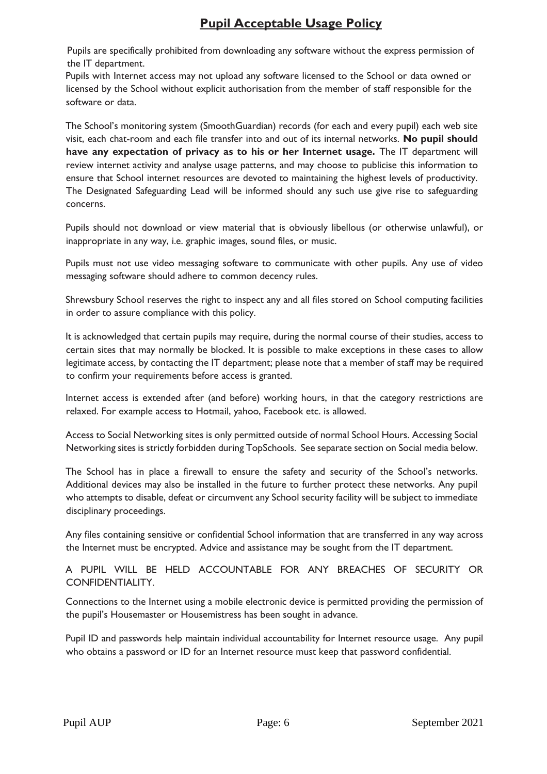Pupils are specifically prohibited from downloading any software without the express permission of the IT department.

Pupils with Internet access may not upload any software licensed to the School or data owned or licensed by the School without explicit authorisation from the member of staff responsible for the software or data.

The School's monitoring system (SmoothGuardian) records (for each and every pupil) each web site visit, each chat-room and each file transfer into and out of its internal networks. **No pupil should have any expectation of privacy as to his or her Internet usage.** The IT department will review internet activity and analyse usage patterns, and may choose to publicise this information to ensure that School internet resources are devoted to maintaining the highest levels of productivity. The Designated Safeguarding Lead will be informed should any such use give rise to safeguarding concerns.

Pupils should not download or view material that is obviously libellous (or otherwise unlawful), or inappropriate in any way, i.e. graphic images, sound files, or music.

Pupils must not use video messaging software to communicate with other pupils. Any use of video messaging software should adhere to common decency rules.

Shrewsbury School reserves the right to inspect any and all files stored on School computing facilities in order to assure compliance with this policy.

It is acknowledged that certain pupils may require, during the normal course of their studies, access to certain sites that may normally be blocked. It is possible to make exceptions in these cases to allow legitimate access, by contacting the IT department; please note that a member of staff may be required to confirm your requirements before access is granted.

Internet access is extended after (and before) working hours, in that the category restrictions are relaxed. For example access to Hotmail, yahoo, Facebook etc. is allowed.

Access to Social Networking sites is only permitted outside of normal School Hours. Accessing Social Networking sites is strictly forbidden during TopSchools. See separate section on Social media below.

The School has in place a firewall to ensure the safety and security of the School's networks. Additional devices may also be installed in the future to further protect these networks. Any pupil who attempts to disable, defeat or circumvent any School security facility will be subject to immediate disciplinary proceedings.

Any files containing sensitive or confidential School information that are transferred in any way across the Internet must be encrypted. Advice and assistance may be sought from the IT department.

A PUPIL WILL BE HELD ACCOUNTABLE FOR ANY BREACHES OF SECURITY OR CONFIDENTIALITY.

Connections to the Internet using a mobile electronic device is permitted providing the permission of the pupil's Housemaster or Housemistress has been sought in advance.

Pupil ID and passwords help maintain individual accountability for Internet resource usage. Any pupil who obtains a password or ID for an Internet resource must keep that password confidential.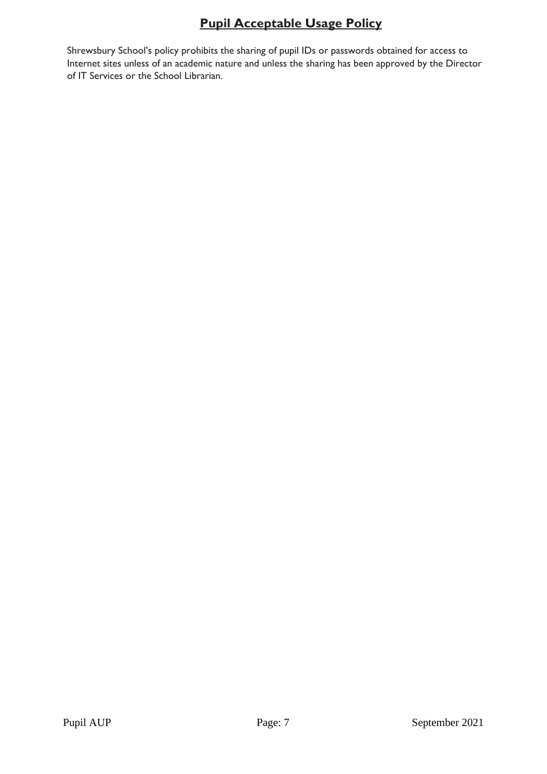Shrewsbury School's policy prohibits the sharing of pupil IDs or passwords obtained for access to Internet sites unless of an academic nature and unless the sharing has been approved by the Director of IT Services or the School Librarian.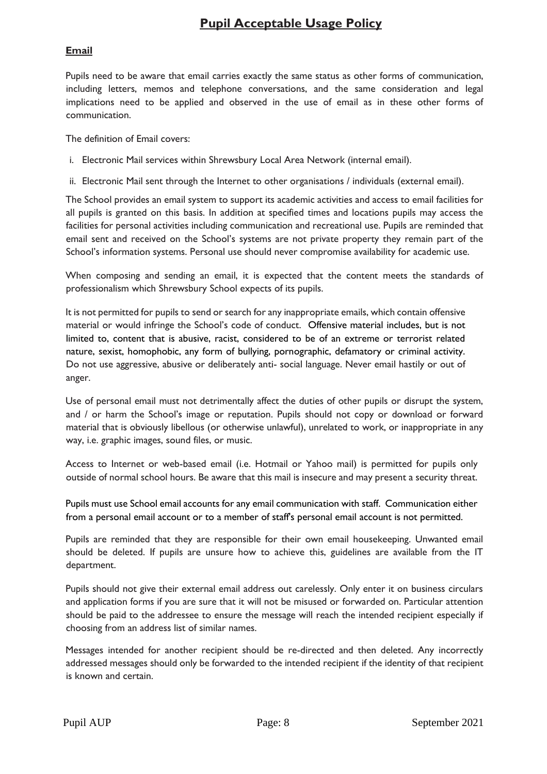### **Email**

Pupils need to be aware that email carries exactly the same status as other forms of communication, including letters, memos and telephone conversations, and the same consideration and legal implications need to be applied and observed in the use of email as in these other forms of communication.

The definition of Email covers:

- i. Electronic Mail services within Shrewsbury Local Area Network (internal email).
- ii. Electronic Mail sent through the Internet to other organisations / individuals (external email).

The School provides an email system to support its academic activities and access to email facilities for all pupils is granted on this basis. In addition at specified times and locations pupils may access the facilities for personal activities including communication and recreational use. Pupils are reminded that email sent and received on the School's systems are not private property they remain part of the School's information systems. Personal use should never compromise availability for academic use.

When composing and sending an email, it is expected that the content meets the standards of professionalism which Shrewsbury School expects of its pupils.

It is not permitted for pupils to send or search for any inappropriate emails, which contain offensive material or would infringe the School's code of conduct. Offensive material includes, but is not limited to, content that is abusive, racist, considered to be of an extreme or terrorist related nature, sexist, homophobic, any form of bullying, pornographic, defamatory or criminal activity. Do not use aggressive, abusive or deliberately anti- social language. Never email hastily or out of anger.

Use of personal email must not detrimentally affect the duties of other pupils or disrupt the system, and / or harm the School's image or reputation. Pupils should not copy or download or forward material that is obviously libellous (or otherwise unlawful), unrelated to work, or inappropriate in any way, i.e. graphic images, sound files, or music.

Access to Internet or web-based email (i.e. Hotmail or Yahoo mail) is permitted for pupils only outside of normal school hours. Be aware that this mail is insecure and may present a security threat.

Pupils must use School email accounts for any email communication with staff. Communication either from a personal email account or to a member of staff's personal email account is not permitted.

Pupils are reminded that they are responsible for their own email housekeeping. Unwanted email should be deleted. If pupils are unsure how to achieve this, guidelines are available from the IT department.

Pupils should not give their external email address out carelessly. Only enter it on business circulars and application forms if you are sure that it will not be misused or forwarded on. Particular attention should be paid to the addressee to ensure the message will reach the intended recipient especially if choosing from an address list of similar names.

Messages intended for another recipient should be re-directed and then deleted. Any incorrectly addressed messages should only be forwarded to the intended recipient if the identity of that recipient is known and certain.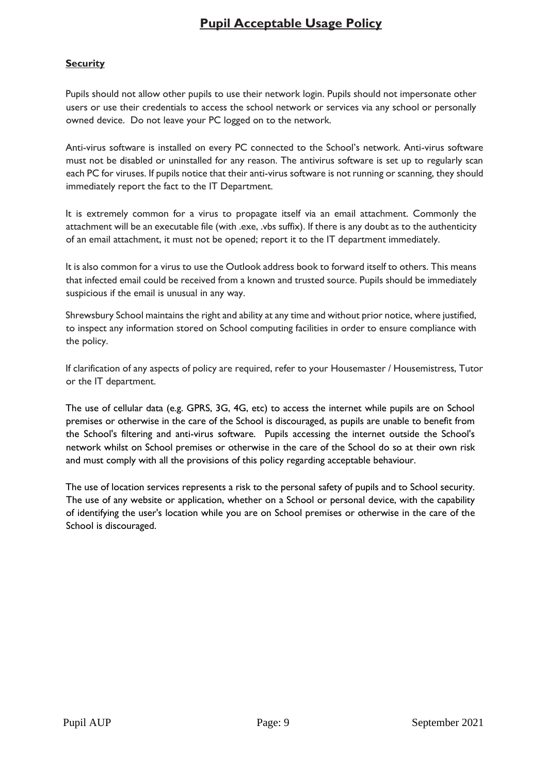### **Security**

Pupils should not allow other pupils to use their network login. Pupils should not impersonate other users or use their credentials to access the school network or services via any school or personally owned device. Do not leave your PC logged on to the network.

Anti-virus software is installed on every PC connected to the School's network. Anti-virus software must not be disabled or uninstalled for any reason. The antivirus software is set up to regularly scan each PC for viruses. If pupils notice that their anti-virus software is not running or scanning, they should immediately report the fact to the IT Department.

It is extremely common for a virus to propagate itself via an email attachment. Commonly the attachment will be an executable file (with .exe, .vbs suffix). If there is any doubt as to the authenticity of an email attachment, it must not be opened; report it to the IT department immediately.

It is also common for a virus to use the Outlook address book to forward itself to others. This means that infected email could be received from a known and trusted source. Pupils should be immediately suspicious if the email is unusual in any way.

Shrewsbury School maintains the right and ability at any time and without prior notice, where justified, to inspect any information stored on School computing facilities in order to ensure compliance with the policy.

If clarification of any aspects of policy are required, refer to your Housemaster / Housemistress, Tutor or the IT department.

The use of cellular data (e.g. GPRS, 3G, 4G, etc) to access the internet while pupils are on School premises or otherwise in the care of the School is discouraged, as pupils are unable to benefit from the School's filtering and anti-virus software. Pupils accessing the internet outside the School's network whilst on School premises or otherwise in the care of the School do so at their own risk and must comply with all the provisions of this policy regarding acceptable behaviour.

The use of location services represents a risk to the personal safety of pupils and to School security. The use of any website or application, whether on a School or personal device, with the capability of identifying the user's location while you are on School premises or otherwise in the care of the School is discouraged.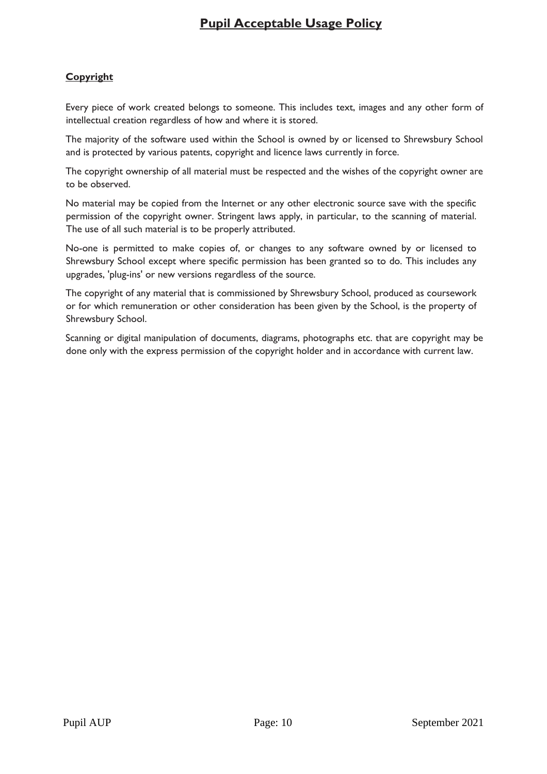### **Copyright**

Every piece of work created belongs to someone. This includes text, images and any other form of intellectual creation regardless of how and where it is stored.

The majority of the software used within the School is owned by or licensed to Shrewsbury School and is protected by various patents, copyright and licence laws currently in force.

The copyright ownership of all material must be respected and the wishes of the copyright owner are to be observed.

No material may be copied from the Internet or any other electronic source save with the specific permission of the copyright owner. Stringent laws apply, in particular, to the scanning of material. The use of all such material is to be properly attributed.

No-one is permitted to make copies of, or changes to any software owned by or licensed to Shrewsbury School except where specific permission has been granted so to do. This includes any upgrades, 'plug-ins' or new versions regardless of the source.

The copyright of any material that is commissioned by Shrewsbury School, produced as coursework or for which remuneration or other consideration has been given by the School, is the property of Shrewsbury School.

Scanning or digital manipulation of documents, diagrams, photographs etc. that are copyright may be done only with the express permission of the copyright holder and in accordance with current law.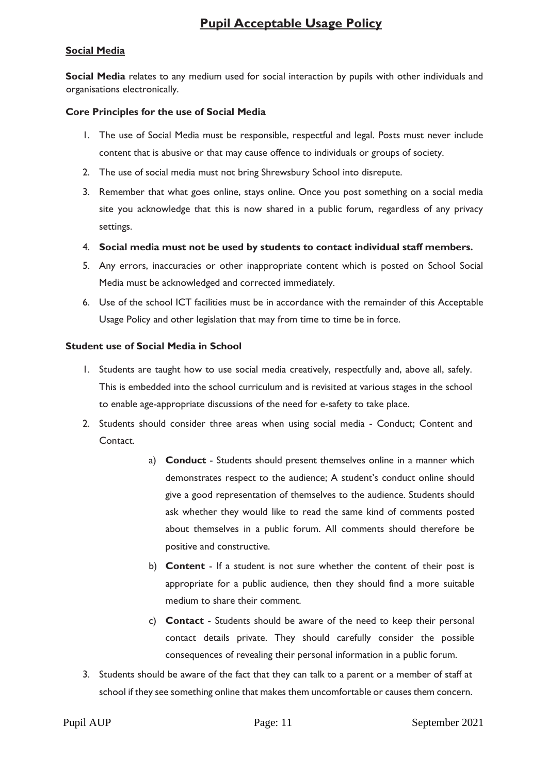### **Social Media**

**Social Media** relates to any medium used for social interaction by pupils with other individuals and organisations electronically.

#### **Core Principles for the use of Social Media**

- 1. The use of Social Media must be responsible, respectful and legal. Posts must never include content that is abusive or that may cause offence to individuals or groups of society.
- 2. The use of social media must not bring Shrewsbury School into disrepute.
- 3. Remember that what goes online, stays online. Once you post something on a social media site you acknowledge that this is now shared in a public forum, regardless of any privacy settings.
- 4. **Social media must not be used by students to contact individual staff members.**
- 5. Any errors, inaccuracies or other inappropriate content which is posted on School Social Media must be acknowledged and corrected immediately.
- 6. Use of the school ICT facilities must be in accordance with the remainder of this Acceptable Usage Policy and other legislation that may from time to time be in force.

#### **Student use of Social Media in School**

- 1. Students are taught how to use social media creatively, respectfully and, above all, safely. This is embedded into the school curriculum and is revisited at various stages in the school to enable age-appropriate discussions of the need for e-safety to take place.
- 2. Students should consider three areas when using social media Conduct; Content and Contact.
	- a) **Conduct**  Students should present themselves online in a manner which demonstrates respect to the audience; A student's conduct online should give a good representation of themselves to the audience. Students should ask whether they would like to read the same kind of comments posted about themselves in a public forum. All comments should therefore be positive and constructive.
	- b) **Content**  If a student is not sure whether the content of their post is appropriate for a public audience, then they should find a more suitable medium to share their comment.
	- c) **Contact**  Students should be aware of the need to keep their personal contact details private. They should carefully consider the possible consequences of revealing their personal information in a public forum.
- 3. Students should be aware of the fact that they can talk to a parent or a member of staff at school if they see something online that makes them uncomfortable or causes them concern.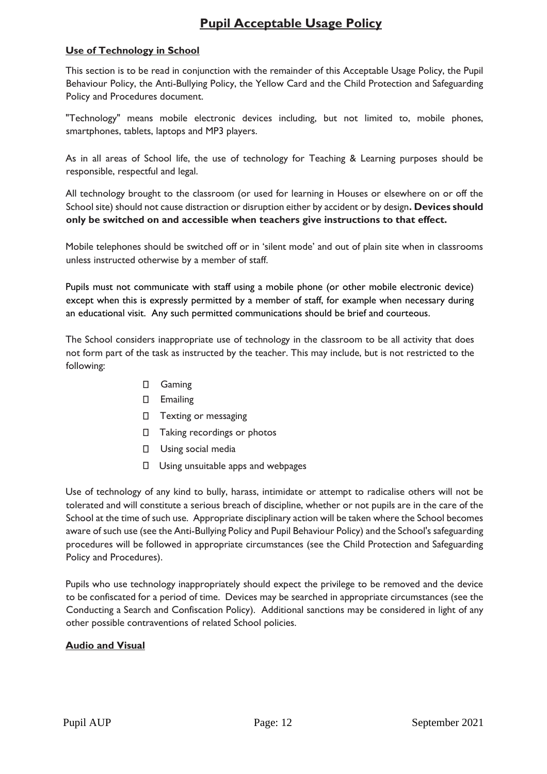### **Use of Technology in School**

This section is to be read in conjunction with the remainder of this Acceptable Usage Policy, the Pupil Behaviour Policy, the Anti-Bullying Policy, the Yellow Card and the Child Protection and Safeguarding Policy and Procedures document.

"Technology" means mobile electronic devices including, but not limited to, mobile phones, smartphones, tablets, laptops and MP3 players.

As in all areas of School life, the use of technology for Teaching & Learning purposes should be responsible, respectful and legal.

All technology brought to the classroom (or used for learning in Houses or elsewhere on or off the School site) should not cause distraction or disruption either by accident or by design**. Devices should only be switched on and accessible when teachers give instructions to that effect.**

Mobile telephones should be switched off or in 'silent mode' and out of plain site when in classrooms unless instructed otherwise by a member of staff.

Pupils must not communicate with staff using a mobile phone (or other mobile electronic device) except when this is expressly permitted by a member of staff, for example when necessary during an educational visit. Any such permitted communications should be brief and courteous.

The School considers inappropriate use of technology in the classroom to be all activity that does not form part of the task as instructed by the teacher. This may include, but is not restricted to the following:

- Gaming
- Emailing
- Texting or messaging
- $\Box$  Taking recordings or photos
- Using social media
- $\Box$  Using unsuitable apps and webpages

Use of technology of any kind to bully, harass, intimidate or attempt to radicalise others will not be tolerated and will constitute a serious breach of discipline, whether or not pupils are in the care of the School at the time of such use. Appropriate disciplinary action will be taken where the School becomes aware of such use (see the Anti-Bullying Policy and Pupil Behaviour Policy) and the School's safeguarding procedures will be followed in appropriate circumstances (see the Child Protection and Safeguarding Policy and Procedures).

Pupils who use technology inappropriately should expect the privilege to be removed and the device to be confiscated for a period of time. Devices may be searched in appropriate circumstances (see the Conducting a Search and Confiscation Policy). Additional sanctions may be considered in light of any other possible contraventions of related School policies.

### **Audio and Visual**